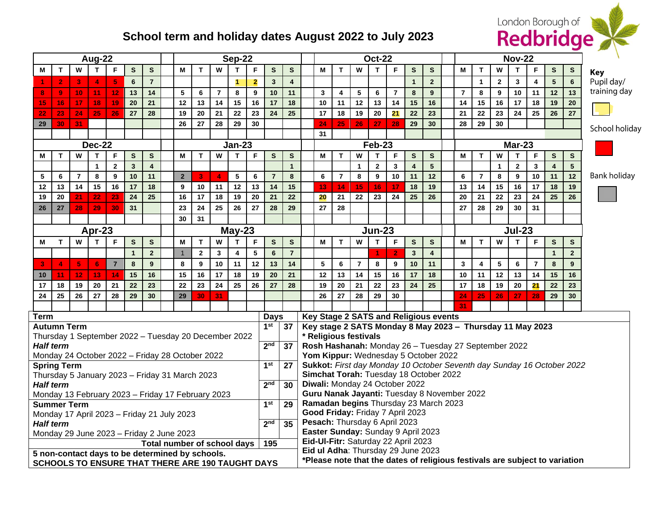## London Borough of

## **School term and holiday dates August 2022 to July 2023**

| Aug-22                                                                  |                                                                                                            |    |                |                |                |                         |  | <b>Sep-22</b>  |                |                      |              |                                     |                                                                                                                   |                                                                                                                | <b>Oct-22</b>                 |                                       |                                        |                                             |              |                |                |                         | <b>Nov-22</b> |                |                |              |              |                |                         |                 |                |
|-------------------------------------------------------------------------|------------------------------------------------------------------------------------------------------------|----|----------------|----------------|----------------|-------------------------|--|----------------|----------------|----------------------|--------------|-------------------------------------|-------------------------------------------------------------------------------------------------------------------|----------------------------------------------------------------------------------------------------------------|-------------------------------|---------------------------------------|----------------------------------------|---------------------------------------------|--------------|----------------|----------------|-------------------------|---------------|----------------|----------------|--------------|--------------|----------------|-------------------------|-----------------|----------------|
| М                                                                       | T                                                                                                          | W  | T.             | F              | $\mathbf{s}$   | $\mathbf{s}$            |  | M              | $\mathbf{T}$   | W                    | Т            | F                                   | S                                                                                                                 | S                                                                                                              |                               | M                                     | T                                      | W                                           | T            | F              | S              | S                       |               | М              | T              | W            | т            | F              | S                       | ${\bf s}$       | <b>Key</b>     |
|                                                                         | $\overline{2}$                                                                                             | 3  | 4              | 5              | 6              | $\overline{7}$          |  |                |                |                      | $\mathbf{1}$ | $\overline{\mathbf{2}}$             | $\mathbf{3}$                                                                                                      | $\overline{4}$                                                                                                 |                               |                                       |                                        |                                             |              |                | $\mathbf{1}$   | $2^{\circ}$             |               |                | $\mathbf{1}$   | $\mathbf{2}$ | $\mathbf{3}$ | 4              | $5\phantom{1}$          | $6\phantom{a}$  | Pupil day/     |
| 8                                                                       | $\overline{9}$                                                                                             | 10 | 11             | 12             | 13             | 14                      |  | 5              | 6              | $\overline{7}$       | 8            | 9                                   | 10                                                                                                                | 11                                                                                                             |                               | $\mathbf{3}$                          | 4                                      | 5                                           | 6            | $\overline{7}$ | 8              | 9                       |               | $\overline{7}$ | 8              | 9            | 10           | 11             | 12                      | 13              | training day   |
| 15                                                                      | 16                                                                                                         | 17 | 18             | 19             | 20             | 21                      |  | 12             | 13             | 14                   | 15           | 16                                  | 17                                                                                                                | 18                                                                                                             |                               | 10                                    | 11                                     | 12                                          | 13           | 14             | 15             | 16                      |               | 14             | 15             | 16           | 17           | 18             | 19                      | 20              |                |
| 22                                                                      | 23                                                                                                         | 24 | 25             | 26             | 27             | 28                      |  | 19             | 20             | 21                   | 22           | 23                                  | 24                                                                                                                | 25                                                                                                             |                               | 17                                    | 18                                     | 19                                          | 20           | 21             | 22             | 23                      |               | 21             | 22             | 23           | 24           | 25             | 26                      | 27              |                |
| 29                                                                      | 30                                                                                                         | 31 |                |                |                |                         |  | 26             | 27             | 28                   | 29           | 30                                  |                                                                                                                   |                                                                                                                |                               | 24                                    | 25 <sub>1</sub>                        | 26                                          | 27           | 28             | 29             | 30                      |               | 28             | 29             | 30           |              |                |                         |                 | School holiday |
|                                                                         |                                                                                                            |    |                |                |                |                         |  |                |                |                      |              |                                     |                                                                                                                   | 31                                                                                                             |                               |                                       |                                        |                                             |              |                |                |                         |               |                |                |              |              |                |                         |                 |                |
| <b>Dec-22</b><br><b>Jan-23</b>                                          |                                                                                                            |    |                |                |                |                         |  |                |                |                      |              |                                     | <b>Feb-23</b>                                                                                                     |                                                                                                                |                               |                                       |                                        |                                             |              |                | <b>Mar-23</b>  |                         |               |                |                |              |              |                |                         |                 |                |
| М                                                                       | $\mathbf T$                                                                                                | W  | T              | F              | S              | $\mathbf{s}$            |  | M              | $\mathbf{T}$   | W                    | T            | F                                   | S                                                                                                                 | S                                                                                                              |                               | M                                     | T                                      | W                                           | T.           | F              | $\mathbf{s}$   | $\mathbf{s}$            |               | М              | T.             | W            | T            | F              | S                       | $\mathbf{s}$    |                |
|                                                                         |                                                                                                            |    | $\mathbf{1}$   | $\mathbf{2}$   | $\mathbf{3}$   | $\overline{\mathbf{4}}$ |  |                |                |                      |              |                                     |                                                                                                                   | $\overline{1}$                                                                                                 |                               |                                       |                                        | $\mathbf{1}$                                | $\mathbf{2}$ | 3              | $\overline{4}$ | 5                       |               |                |                | $\mathbf{1}$ | $\mathbf{2}$ | 3              | $\overline{\mathbf{4}}$ | $5\phantom{.0}$ |                |
| 5                                                                       | 6                                                                                                          | 7  | 8              | 9              | 10             | 11                      |  | $\mathbf{2}$   | 3              | $\blacktriangleleft$ | 5            | 6                                   | $\overline{7}$                                                                                                    | 8                                                                                                              |                               | 6                                     | $\overline{7}$                         | 8                                           | 9            | 10             | 11             | 12                      |               | 6              | $\overline{7}$ | 8            | 9            | 10             | 11                      | 12              | Bank holiday   |
| 12                                                                      | 13                                                                                                         | 14 | 15             | 16             | 17             | 18                      |  | 9              | 10             | 11                   | 12           | 13                                  | 14                                                                                                                | 15                                                                                                             |                               | 13                                    | 14                                     | 15                                          | 16           | 17             | 18             | 19                      |               | 13             | 14             | 15           | 16           | 17             | 18                      | 19              |                |
| 19                                                                      | 20                                                                                                         | 21 | 22             | 23             | 24             | 25                      |  | 16             | 17             | 18                   | 19           | 20                                  | 21                                                                                                                | 22                                                                                                             |                               | 20                                    | 21                                     | 22                                          | 23           | 24             | 25             | 26                      |               | 20             | 21             | 22           | 23           | 24             | 25                      | 26              |                |
| 26                                                                      | 27                                                                                                         | 28 | 29             | 30             | 31             |                         |  | 23             | 24             | 25                   | 26           | 27                                  | 28                                                                                                                | 29                                                                                                             |                               | 27                                    | 28                                     |                                             |              |                |                |                         |               | 27             | 28             | 29           | 30           | 31             |                         |                 |                |
|                                                                         |                                                                                                            |    |                |                |                |                         |  | 30             | 31             |                      |              |                                     |                                                                                                                   |                                                                                                                |                               |                                       |                                        |                                             |              |                |                |                         |               |                |                |              |              |                |                         |                 |                |
| Apr-23<br>$May-23$                                                      |                                                                                                            |    |                |                |                |                         |  |                |                |                      |              |                                     | <b>Jun-23</b>                                                                                                     |                                                                                                                |                               |                                       |                                        |                                             |              |                |                | <b>Jul-23</b>           |               |                |                |              |              |                |                         |                 |                |
| М                                                                       | T                                                                                                          | W  | $\mathsf{T}$   | F              | $\mathbf{s}$   | $\mathbf{s}$            |  | M              | $\mathsf{T}$   | W                    | $\mathbf{T}$ | F                                   | $\mathbf{s}$                                                                                                      | S                                                                                                              |                               | M                                     | T                                      | W                                           | T.           | F              | S              | $\mathbf{s}$            |               | M              | T.             | W            | T.           | F              | S                       | $\mathbf{s}$    |                |
|                                                                         |                                                                                                            |    |                |                | $\overline{1}$ | $\overline{\mathbf{2}}$ |  | $\overline{1}$ | $\overline{2}$ | $\mathbf{3}$         | 4            | 5                                   | $6\phantom{1}$                                                                                                    | $\overline{7}$                                                                                                 |                               |                                       |                                        |                                             | 4            | $\overline{2}$ | $\overline{3}$ | $\overline{\mathbf{4}}$ |               |                |                |              |              |                | $\mathbf{1}$            | $\overline{2}$  |                |
| 3                                                                       | $\overline{4}$                                                                                             | 5  | $6\phantom{1}$ | $\overline{7}$ | 8              | 9                       |  | 8              | 9              | 10                   | 11           | 12                                  | 13                                                                                                                | 14                                                                                                             |                               | 5                                     | 6                                      | $\overline{7}$                              | 8            | 9              | 10             | 11                      |               | 3              | 4              | 5            | 6            | $\overline{7}$ | 8                       | 9               |                |
| 10                                                                      | 11                                                                                                         | 12 | 13             | 14             | 15             | 16                      |  | 15             | 16             | 17                   | 18           | 19                                  | 20                                                                                                                | 21                                                                                                             |                               | 12                                    | 13                                     | 14                                          | 15           | 16             | 17             | 18                      |               | $10$           | 11             | 12           | 13           | 14             | 15                      | 16              |                |
| 17                                                                      | 18                                                                                                         | 19 | 20             | 21             | 22             | 23                      |  | 22             | 23             | 24                   | 25           | 26                                  | 27                                                                                                                | 28                                                                                                             |                               | 19                                    | 20                                     | 21                                          | 22           | 23             | 24             | 25                      |               | 17             | 18             | 19           | 20           | 21             | 22                      | 23              |                |
| 24                                                                      | 25                                                                                                         | 26 | 27             | 28             | 29             | 30                      |  | 29             | 30             | 31                   |              |                                     |                                                                                                                   |                                                                                                                |                               | 26                                    | 27                                     | 28                                          | 29           | 30             |                |                         |               | 24             | 25             | 26           | 27           | 28             | 29                      | 30              |                |
|                                                                         |                                                                                                            |    |                |                |                |                         |  |                |                |                      |              |                                     |                                                                                                                   |                                                                                                                |                               |                                       |                                        |                                             |              |                |                |                         |               | 31             |                |              |              |                |                         |                 |                |
| <b>Term</b><br><b>Days</b>                                              |                                                                                                            |    |                |                |                |                         |  |                |                |                      |              |                                     |                                                                                                                   |                                                                                                                |                               | Key Stage 2 SATS and Religious events |                                        |                                             |              |                |                |                         |               |                |                |              |              |                |                         |                 |                |
| 1 <sup>st</sup><br><b>Autumn Term</b><br>37                             |                                                                                                            |    |                |                |                |                         |  |                |                |                      |              |                                     | Key stage 2 SATS Monday 8 May 2023 - Thursday 11 May 2023                                                         |                                                                                                                |                               |                                       |                                        |                                             |              |                |                |                         |               |                |                |              |              |                |                         |                 |                |
| Thursday 1 September 2022 - Tuesday 20 December 2022<br>2 <sub>nd</sub> |                                                                                                            |    |                |                |                |                         |  |                |                |                      |              |                                     |                                                                                                                   | * Religious festivals                                                                                          |                               |                                       |                                        |                                             |              |                |                |                         |               |                |                |              |              |                |                         |                 |                |
| <b>Half term</b><br>Monday 24 October 2022 - Friday 28 October 2022     |                                                                                                            |    |                |                |                |                         |  |                |                |                      |              |                                     | 37                                                                                                                | Rosh Hashanah: Monday 26 - Tuesday 27 September 2022                                                           |                               |                                       |                                        |                                             |              |                |                |                         |               |                |                |              |              |                |                         |                 |                |
| 1st<br><b>Spring Term</b>                                               |                                                                                                            |    |                |                |                |                         |  |                |                |                      |              |                                     | 27                                                                                                                | Yom Kippur: Wednesday 5 October 2022<br>Sukkot: First day Monday 10 October Seventh day Sunday 16 October 2022 |                               |                                       |                                        |                                             |              |                |                |                         |               |                |                |              |              |                |                         |                 |                |
| Thursday 5 January 2023 - Friday 31 March 2023                          |                                                                                                            |    |                |                |                |                         |  |                |                |                      |              |                                     |                                                                                                                   |                                                                                                                |                               |                                       | Simchat Torah: Tuesday 18 October 2022 |                                             |              |                |                |                         |               |                |                |              |              |                |                         |                 |                |
| <b>Half term</b>                                                        |                                                                                                            |    |                |                |                |                         |  |                |                |                      |              |                                     | 2 <sub>nd</sub>                                                                                                   | 30                                                                                                             |                               |                                       |                                        | Diwali: Monday 24 October 2022              |              |                |                |                         |               |                |                |              |              |                |                         |                 |                |
| Monday 13 February 2023 - Friday 17 February 2023                       |                                                                                                            |    |                |                |                |                         |  |                |                |                      |              |                                     |                                                                                                                   |                                                                                                                |                               |                                       |                                        | Guru Nanak Jayanti: Tuesday 8 November 2022 |              |                |                |                         |               |                |                |              |              |                |                         |                 |                |
|                                                                         | 1st<br><b>Summer Term</b>                                                                                  |    |                |                |                |                         |  |                |                |                      |              |                                     |                                                                                                                   | 29                                                                                                             |                               |                                       |                                        | Ramadan begins Thursday 23 March 2023       |              |                |                |                         |               |                |                |              |              |                |                         |                 |                |
|                                                                         |                                                                                                            |    |                |                |                |                         |  |                |                |                      |              |                                     |                                                                                                                   |                                                                                                                |                               |                                       |                                        | Good Friday: Friday 7 April 2023            |              |                |                |                         |               |                |                |              |              |                |                         |                 |                |
|                                                                         | Monday 17 April 2023 - Friday 21 July 2023<br>2 <sub>nd</sub><br>35<br><b>Half term</b>                    |    |                |                |                |                         |  |                |                |                      |              |                                     |                                                                                                                   |                                                                                                                | Pesach: Thursday 6 April 2023 |                                       |                                        |                                             |              |                |                |                         |               |                |                |              |              |                |                         |                 |                |
|                                                                         | Monday 29 June 2023 - Friday 2 June 2023                                                                   |    |                |                |                |                         |  |                |                |                      |              |                                     |                                                                                                                   | Easter Sunday: Sunday 9 April 2023                                                                             |                               |                                       |                                        |                                             |              |                |                |                         |               |                |                |              |              |                |                         |                 |                |
| Total number of school days<br>195                                      |                                                                                                            |    |                |                |                |                         |  |                |                |                      |              | Eid-UI-Fitr: Saturday 22 April 2023 |                                                                                                                   |                                                                                                                |                               |                                       |                                        |                                             |              |                |                |                         |               |                |                |              |              |                |                         |                 |                |
|                                                                         | 5 non-contact days to be determined by schools.<br><b>SCHOOLS TO ENSURE THAT THERE ARE 190 TAUGHT DAYS</b> |    |                |                |                |                         |  |                |                |                      |              |                                     | Eid ul Adha: Thursday 29 June 2023<br>*Please note that the dates of religious festivals are subject to variation |                                                                                                                |                               |                                       |                                        |                                             |              |                |                |                         |               |                |                |              |              |                |                         |                 |                |
|                                                                         |                                                                                                            |    |                |                |                |                         |  |                |                |                      |              |                                     |                                                                                                                   |                                                                                                                |                               |                                       |                                        |                                             |              |                |                |                         |               |                |                |              |              |                |                         |                 |                |